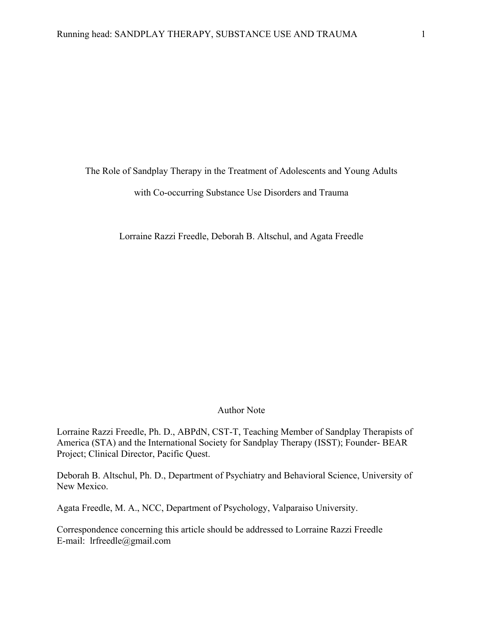The Role of Sandplay Therapy in the Treatment of Adolescents and Young Adults with Co-occurring Substance Use Disorders and Trauma

Lorraine Razzi Freedle, Deborah B. Altschul, and Agata Freedle

#### Author Note

Lorraine Razzi Freedle, Ph. D., ABPdN, CST-T, Teaching Member of Sandplay Therapists of America (STA) and the International Society for Sandplay Therapy (ISST); Founder- BEAR Project; Clinical Director, Pacific Quest.

Deborah B. Altschul, Ph. D., Department of Psychiatry and Behavioral Science, University of New Mexico.

Agata Freedle, M. A., NCC, Department of Psychology, Valparaiso University.

Correspondence concerning this article should be addressed to Lorraine Razzi Freedle E-mail: lrfreedle@gmail.com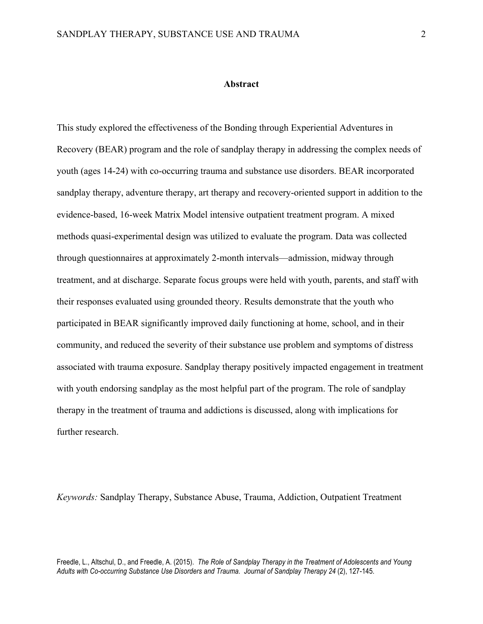## **Abstract**

This study explored the effectiveness of the Bonding through Experiential Adventures in Recovery (BEAR) program and the role of sandplay therapy in addressing the complex needs of youth (ages 14-24) with co-occurring trauma and substance use disorders. BEAR incorporated sandplay therapy, adventure therapy, art therapy and recovery-oriented support in addition to the evidence-based, 16-week Matrix Model intensive outpatient treatment program. A mixed methods quasi-experimental design was utilized to evaluate the program. Data was collected through questionnaires at approximately 2-month intervals—admission, midway through treatment, and at discharge. Separate focus groups were held with youth, parents, and staff with their responses evaluated using grounded theory. Results demonstrate that the youth who participated in BEAR significantly improved daily functioning at home, school, and in their community, and reduced the severity of their substance use problem and symptoms of distress associated with trauma exposure. Sandplay therapy positively impacted engagement in treatment with youth endorsing sandplay as the most helpful part of the program. The role of sandplay therapy in the treatment of trauma and addictions is discussed, along with implications for further research.

*Keywords:* Sandplay Therapy, Substance Abuse, Trauma, Addiction, Outpatient Treatment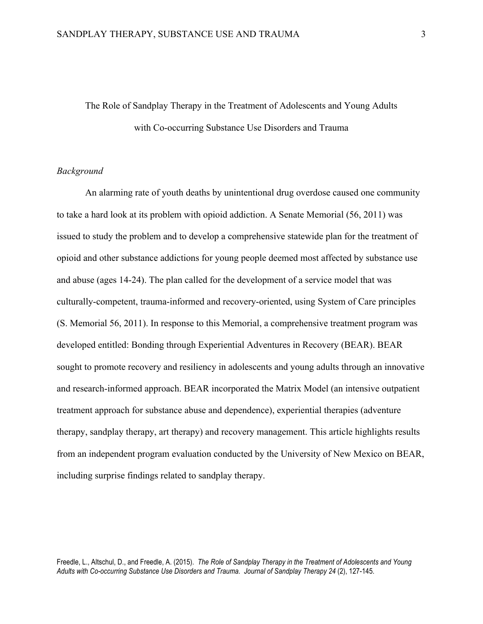# The Role of Sandplay Therapy in the Treatment of Adolescents and Young Adults with Co-occurring Substance Use Disorders and Trauma

# *Background*

An alarming rate of youth deaths by unintentional drug overdose caused one community to take a hard look at its problem with opioid addiction. A Senate Memorial (56, 2011) was issued to study the problem and to develop a comprehensive statewide plan for the treatment of opioid and other substance addictions for young people deemed most affected by substance use and abuse (ages 14-24). The plan called for the development of a service model that was culturally-competent, trauma-informed and recovery-oriented, using System of Care principles (S. Memorial 56, 2011). In response to this Memorial, a comprehensive treatment program was developed entitled: Bonding through Experiential Adventures in Recovery (BEAR). BEAR sought to promote recovery and resiliency in adolescents and young adults through an innovative and research-informed approach. BEAR incorporated the Matrix Model (an intensive outpatient treatment approach for substance abuse and dependence), experiential therapies (adventure therapy, sandplay therapy, art therapy) and recovery management. This article highlights results from an independent program evaluation conducted by the University of New Mexico on BEAR, including surprise findings related to sandplay therapy.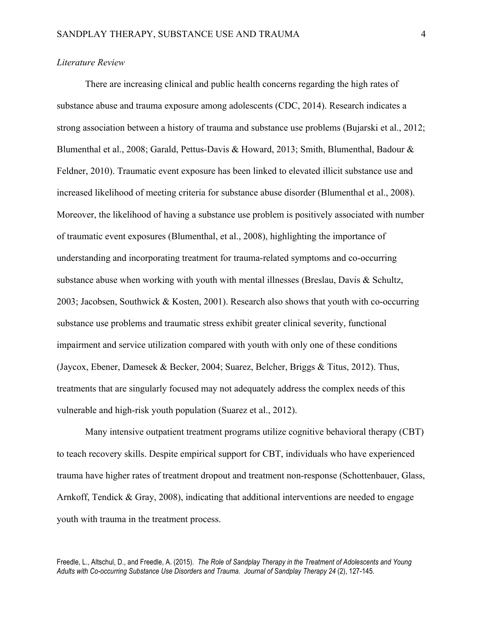# *Literature Review*

There are increasing clinical and public health concerns regarding the high rates of substance abuse and trauma exposure among adolescents (CDC, 2014). Research indicates a strong association between a history of trauma and substance use problems (Bujarski et al., 2012; Blumenthal et al., 2008; Garald, Pettus-Davis & Howard, 2013; Smith, Blumenthal, Badour & Feldner, 2010). Traumatic event exposure has been linked to elevated illicit substance use and increased likelihood of meeting criteria for substance abuse disorder (Blumenthal et al., 2008). Moreover, the likelihood of having a substance use problem is positively associated with number of traumatic event exposures (Blumenthal, et al., 2008), highlighting the importance of understanding and incorporating treatment for trauma-related symptoms and co-occurring substance abuse when working with youth with mental illnesses (Breslau, Davis  $\&$  Schultz, 2003; Jacobsen, Southwick & Kosten, 2001). Research also shows that youth with co-occurring substance use problems and traumatic stress exhibit greater clinical severity, functional impairment and service utilization compared with youth with only one of these conditions (Jaycox, Ebener, Damesek & Becker, 2004; Suarez, Belcher, Briggs & Titus, 2012). Thus, treatments that are singularly focused may not adequately address the complex needs of this vulnerable and high-risk youth population (Suarez et al., 2012).

Many intensive outpatient treatment programs utilize cognitive behavioral therapy (CBT) to teach recovery skills. Despite empirical support for CBT, individuals who have experienced trauma have higher rates of treatment dropout and treatment non-response (Schottenbauer, Glass, Arnkoff, Tendick & Gray, 2008), indicating that additional interventions are needed to engage youth with trauma in the treatment process.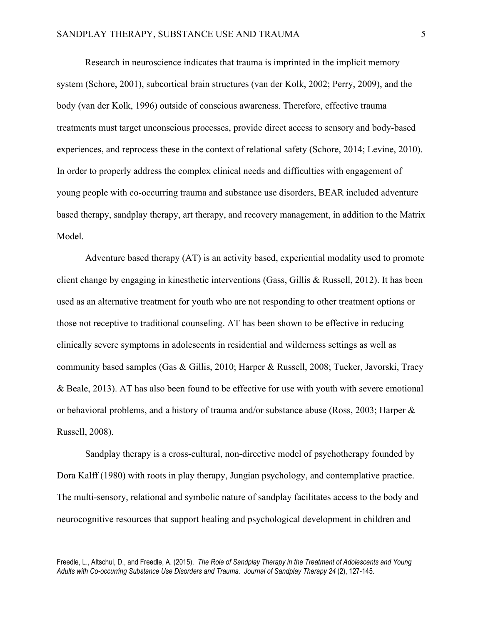Research in neuroscience indicates that trauma is imprinted in the implicit memory system (Schore, 2001), subcortical brain structures (van der Kolk, 2002; Perry, 2009), and the body (van der Kolk, 1996) outside of conscious awareness. Therefore, effective trauma treatments must target unconscious processes, provide direct access to sensory and body-based experiences, and reprocess these in the context of relational safety (Schore, 2014; Levine, 2010). In order to properly address the complex clinical needs and difficulties with engagement of young people with co-occurring trauma and substance use disorders, BEAR included adventure based therapy, sandplay therapy, art therapy, and recovery management, in addition to the Matrix Model.

Adventure based therapy (AT) is an activity based, experiential modality used to promote client change by engaging in kinesthetic interventions (Gass, Gillis & Russell, 2012). It has been used as an alternative treatment for youth who are not responding to other treatment options or those not receptive to traditional counseling. AT has been shown to be effective in reducing clinically severe symptoms in adolescents in residential and wilderness settings as well as community based samples (Gas & Gillis, 2010; Harper & Russell, 2008; Tucker, Javorski, Tracy & Beale, 2013). AT has also been found to be effective for use with youth with severe emotional or behavioral problems, and a history of trauma and/or substance abuse (Ross, 2003; Harper & Russell, 2008).

Sandplay therapy is a cross-cultural, non-directive model of psychotherapy founded by Dora Kalff (1980) with roots in play therapy, Jungian psychology, and contemplative practice. The multi-sensory, relational and symbolic nature of sandplay facilitates access to the body and neurocognitive resources that support healing and psychological development in children and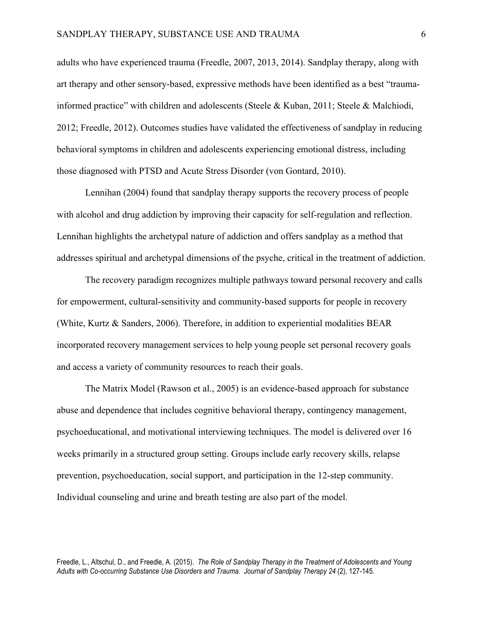adults who have experienced trauma (Freedle, 2007, 2013, 2014). Sandplay therapy, along with art therapy and other sensory-based, expressive methods have been identified as a best "traumainformed practice" with children and adolescents (Steele & Kuban, 2011; Steele & Malchiodi, 2012; Freedle, 2012). Outcomes studies have validated the effectiveness of sandplay in reducing behavioral symptoms in children and adolescents experiencing emotional distress, including those diagnosed with PTSD and Acute Stress Disorder (von Gontard, 2010).

Lennihan (2004) found that sandplay therapy supports the recovery process of people with alcohol and drug addiction by improving their capacity for self-regulation and reflection. Lennihan highlights the archetypal nature of addiction and offers sandplay as a method that addresses spiritual and archetypal dimensions of the psyche, critical in the treatment of addiction.

The recovery paradigm recognizes multiple pathways toward personal recovery and calls for empowerment, cultural-sensitivity and community-based supports for people in recovery (White, Kurtz & Sanders, 2006). Therefore, in addition to experiential modalities BEAR incorporated recovery management services to help young people set personal recovery goals and access a variety of community resources to reach their goals.

The Matrix Model (Rawson et al., 2005) is an evidence-based approach for substance abuse and dependence that includes cognitive behavioral therapy, contingency management, psychoeducational, and motivational interviewing techniques. The model is delivered over 16 weeks primarily in a structured group setting. Groups include early recovery skills, relapse prevention, psychoeducation, social support, and participation in the 12-step community. Individual counseling and urine and breath testing are also part of the model.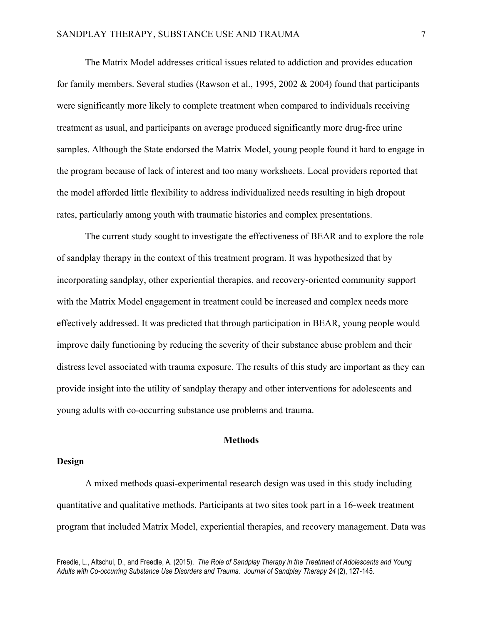The Matrix Model addresses critical issues related to addiction and provides education for family members. Several studies (Rawson et al., 1995, 2002 & 2004) found that participants were significantly more likely to complete treatment when compared to individuals receiving treatment as usual, and participants on average produced significantly more drug-free urine samples. Although the State endorsed the Matrix Model, young people found it hard to engage in the program because of lack of interest and too many worksheets. Local providers reported that the model afforded little flexibility to address individualized needs resulting in high dropout rates, particularly among youth with traumatic histories and complex presentations.

The current study sought to investigate the effectiveness of BEAR and to explore the role of sandplay therapy in the context of this treatment program. It was hypothesized that by incorporating sandplay, other experiential therapies, and recovery-oriented community support with the Matrix Model engagement in treatment could be increased and complex needs more effectively addressed. It was predicted that through participation in BEAR, young people would improve daily functioning by reducing the severity of their substance abuse problem and their distress level associated with trauma exposure. The results of this study are important as they can provide insight into the utility of sandplay therapy and other interventions for adolescents and young adults with co-occurring substance use problems and trauma.

# **Methods**

# **Design**

A mixed methods quasi-experimental research design was used in this study including quantitative and qualitative methods. Participants at two sites took part in a 16-week treatment program that included Matrix Model, experiential therapies, and recovery management. Data was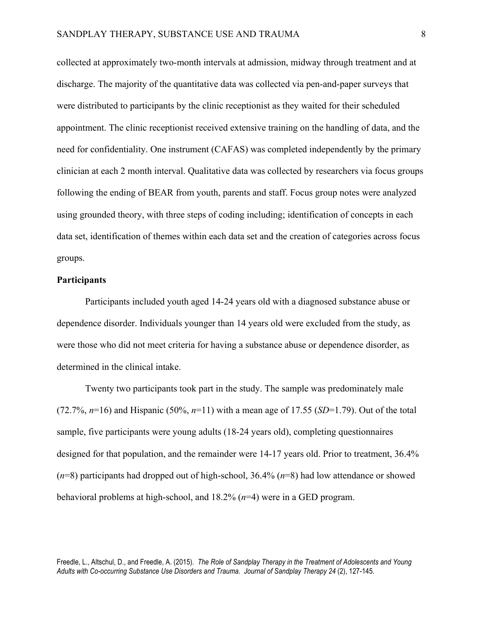collected at approximately two-month intervals at admission, midway through treatment and at discharge. The majority of the quantitative data was collected via pen-and-paper surveys that were distributed to participants by the clinic receptionist as they waited for their scheduled appointment. The clinic receptionist received extensive training on the handling of data, and the need for confidentiality. One instrument (CAFAS) was completed independently by the primary clinician at each 2 month interval. Qualitative data was collected by researchers via focus groups following the ending of BEAR from youth, parents and staff. Focus group notes were analyzed using grounded theory, with three steps of coding including; identification of concepts in each data set, identification of themes within each data set and the creation of categories across focus groups.

## **Participants**

Participants included youth aged 14-24 years old with a diagnosed substance abuse or dependence disorder. Individuals younger than 14 years old were excluded from the study, as were those who did not meet criteria for having a substance abuse or dependence disorder, as determined in the clinical intake.

Twenty two participants took part in the study. The sample was predominately male (72.7%, *n*=16) and Hispanic (50%, *n*=11) with a mean age of 17.55 (*SD*=1.79). Out of the total sample, five participants were young adults (18-24 years old), completing questionnaires designed for that population, and the remainder were 14-17 years old. Prior to treatment, 36.4% (*n*=8) participants had dropped out of high-school, 36.4% (*n*=8) had low attendance or showed behavioral problems at high-school, and 18.2% (*n*=4) were in a GED program.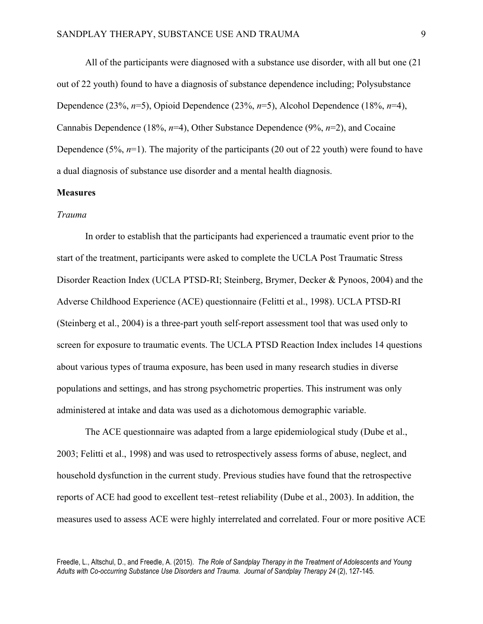All of the participants were diagnosed with a substance use disorder, with all but one (21 out of 22 youth) found to have a diagnosis of substance dependence including; Polysubstance Dependence (23%, *n*=5), Opioid Dependence (23%, *n*=5), Alcohol Dependence (18%, *n*=4), Cannabis Dependence (18%, *n*=4), Other Substance Dependence (9%, *n*=2), and Cocaine Dependence (5%, *n*=1). The majority of the participants (20 out of 22 youth) were found to have a dual diagnosis of substance use disorder and a mental health diagnosis.

# **Measures**

# *Trauma*

In order to establish that the participants had experienced a traumatic event prior to the start of the treatment, participants were asked to complete the UCLA Post Traumatic Stress Disorder Reaction Index (UCLA PTSD-RI; Steinberg, Brymer, Decker & Pynoos, 2004) and the Adverse Childhood Experience (ACE) questionnaire (Felitti et al., 1998). UCLA PTSD-RI (Steinberg et al., 2004) is a three-part youth self-report assessment tool that was used only to screen for exposure to traumatic events. The UCLA PTSD Reaction Index includes 14 questions about various types of trauma exposure, has been used in many research studies in diverse populations and settings, and has strong psychometric properties. This instrument was only administered at intake and data was used as a dichotomous demographic variable.

The ACE questionnaire was adapted from a large epidemiological study (Dube et al., 2003; Felitti et al., 1998) and was used to retrospectively assess forms of abuse, neglect, and household dysfunction in the current study. Previous studies have found that the retrospective reports of ACE had good to excellent test–retest reliability (Dube et al., 2003). In addition, the measures used to assess ACE were highly interrelated and correlated. Four or more positive ACE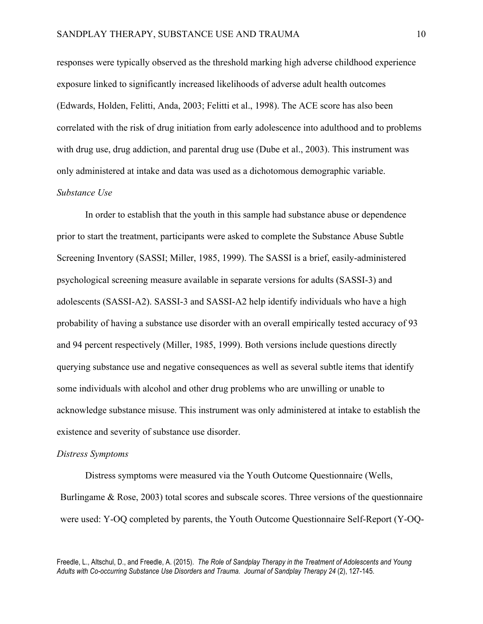responses were typically observed as the threshold marking high adverse childhood experience exposure linked to significantly increased likelihoods of adverse adult health outcomes (Edwards, Holden, Felitti, Anda, 2003; Felitti et al., 1998). The ACE score has also been correlated with the risk of drug initiation from early adolescence into adulthood and to problems with drug use, drug addiction, and parental drug use (Dube et al., 2003). This instrument was only administered at intake and data was used as a dichotomous demographic variable. *Substance Use*

In order to establish that the youth in this sample had substance abuse or dependence prior to start the treatment, participants were asked to complete the Substance Abuse Subtle Screening Inventory (SASSI; Miller, 1985, 1999). The SASSI is a brief, easily-administered psychological screening measure available in separate versions for adults (SASSI-3) and adolescents (SASSI-A2). SASSI-3 and SASSI-A2 help identify individuals who have a high probability of having a substance use disorder with an overall empirically tested accuracy of 93 and 94 percent respectively (Miller, 1985, 1999). Both versions include questions directly querying substance use and negative consequences as well as several subtle items that identify some individuals with alcohol and other drug problems who are unwilling or unable to acknowledge substance misuse. This instrument was only administered at intake to establish the existence and severity of substance use disorder.

#### *Distress Symptoms*

Distress symptoms were measured via the Youth Outcome Questionnaire (Wells, Burlingame & Rose, 2003) total scores and subscale scores. Three versions of the questionnaire were used: Y-OQ completed by parents, the Youth Outcome Questionnaire Self-Report (Y-OQ-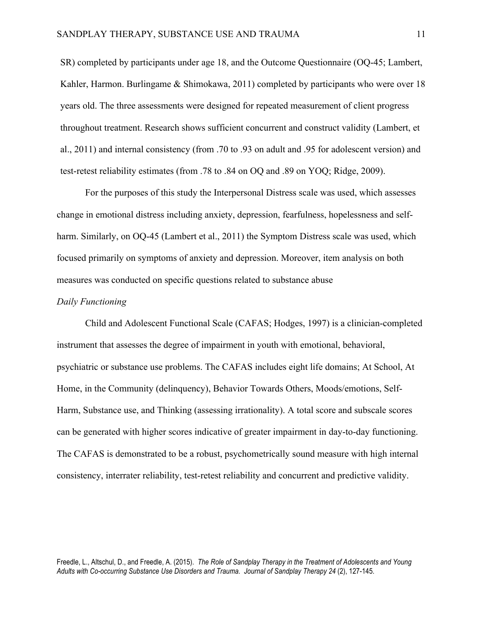SR) completed by participants under age 18, and the Outcome Questionnaire (OQ-45; Lambert, Kahler, Harmon. Burlingame & Shimokawa, 2011) completed by participants who were over 18 years old. The three assessments were designed for repeated measurement of client progress throughout treatment. Research shows sufficient concurrent and construct validity (Lambert, et al., 2011) and internal consistency (from .70 to .93 on adult and .95 for adolescent version) and test-retest reliability estimates (from .78 to .84 on OQ and .89 on YOQ; Ridge, 2009).

For the purposes of this study the Interpersonal Distress scale was used, which assesses change in emotional distress including anxiety, depression, fearfulness, hopelessness and selfharm. Similarly, on OQ-45 (Lambert et al., 2011) the Symptom Distress scale was used, which focused primarily on symptoms of anxiety and depression. Moreover, item analysis on both measures was conducted on specific questions related to substance abuse

# *Daily Functioning*

Child and Adolescent Functional Scale (CAFAS; Hodges, 1997) is a clinician-completed instrument that assesses the degree of impairment in youth with emotional, behavioral, psychiatric or substance use problems. The CAFAS includes eight life domains; At School, At Home, in the Community (delinquency), Behavior Towards Others, Moods/emotions, Self-Harm, Substance use, and Thinking (assessing irrationality). A total score and subscale scores can be generated with higher scores indicative of greater impairment in day-to-day functioning. The CAFAS is demonstrated to be a robust, psychometrically sound measure with high internal consistency, interrater reliability, test-retest reliability and concurrent and predictive validity.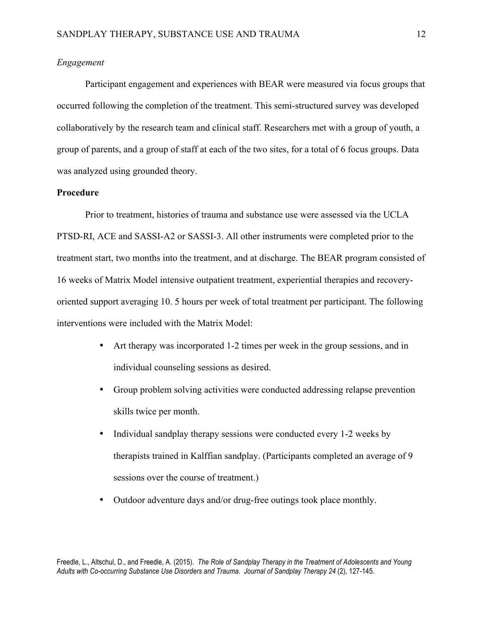# *Engagement*

Participant engagement and experiences with BEAR were measured via focus groups that occurred following the completion of the treatment. This semi-structured survey was developed collaboratively by the research team and clinical staff. Researchers met with a group of youth, a group of parents, and a group of staff at each of the two sites, for a total of 6 focus groups. Data was analyzed using grounded theory.

# **Procedure**

Prior to treatment, histories of trauma and substance use were assessed via the UCLA PTSD-RI, ACE and SASSI-A2 or SASSI-3. All other instruments were completed prior to the treatment start, two months into the treatment, and at discharge. The BEAR program consisted of 16 weeks of Matrix Model intensive outpatient treatment, experiential therapies and recoveryoriented support averaging 10. 5 hours per week of total treatment per participant. The following interventions were included with the Matrix Model:

- Art therapy was incorporated 1-2 times per week in the group sessions, and in individual counseling sessions as desired.
- Group problem solving activities were conducted addressing relapse prevention skills twice per month.
- Individual sandplay therapy sessions were conducted every 1-2 weeks by therapists trained in Kalffian sandplay. (Participants completed an average of 9 sessions over the course of treatment.)
- Outdoor adventure days and/or drug-free outings took place monthly.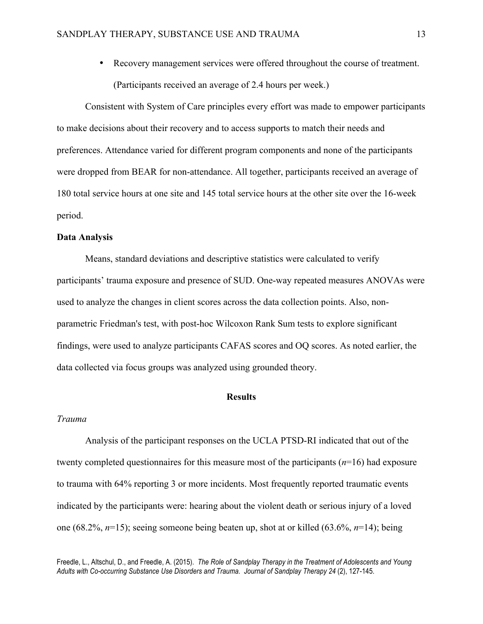• Recovery management services were offered throughout the course of treatment. (Participants received an average of 2.4 hours per week.)

Consistent with System of Care principles every effort was made to empower participants to make decisions about their recovery and to access supports to match their needs and preferences. Attendance varied for different program components and none of the participants were dropped from BEAR for non-attendance. All together, participants received an average of 180 total service hours at one site and 145 total service hours at the other site over the 16-week period.

#### **Data Analysis**

Means, standard deviations and descriptive statistics were calculated to verify participants' trauma exposure and presence of SUD. One-way repeated measures ANOVAs were used to analyze the changes in client scores across the data collection points. Also, nonparametric Friedman's test, with post-hoc Wilcoxon Rank Sum tests to explore significant findings, were used to analyze participants CAFAS scores and OQ scores. As noted earlier, the data collected via focus groups was analyzed using grounded theory.

#### **Results**

## *Trauma*

Analysis of the participant responses on the UCLA PTSD-RI indicated that out of the twenty completed questionnaires for this measure most of the participants (*n*=16) had exposure to trauma with 64% reporting 3 or more incidents. Most frequently reported traumatic events indicated by the participants were: hearing about the violent death or serious injury of a loved one (68.2%, *n*=15); seeing someone being beaten up, shot at or killed (63.6%, *n*=14); being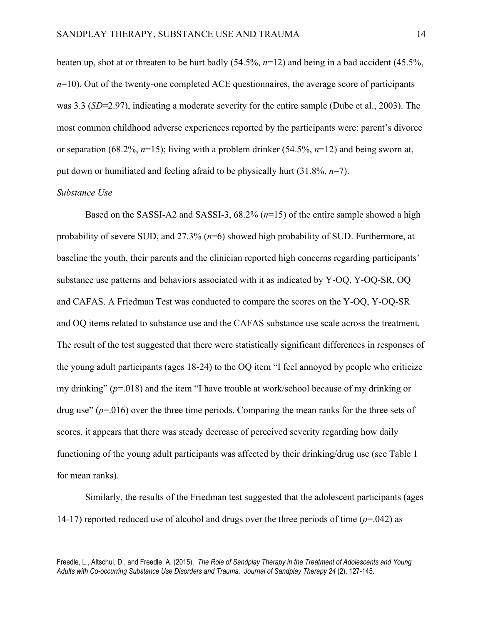beaten up, shot at or threaten to be hurt badly (54.5%, *n*=12) and being in a bad accident (45.5%,  $n=10$ ). Out of the twenty-one completed ACE questionnaires, the average score of participants was 3.3 (*SD*=2.97), indicating a moderate severity for the entire sample (Dube et al., 2003). The most common childhood adverse experiences reported by the participants were: parent's divorce or separation (68.2%, *n*=15); living with a problem drinker (54.5%, *n*=12) and being sworn at, put down or humiliated and feeling afraid to be physically hurt (31.8%, *n*=7).

## *Substance Use*

Based on the SASSI-A2 and SASSI-3, 68.2% (*n*=15) of the entire sample showed a high probability of severe SUD, and 27.3% (*n*=6) showed high probability of SUD. Furthermore, at baseline the youth, their parents and the clinician reported high concerns regarding participants' substance use patterns and behaviors associated with it as indicated by Y-OQ, Y-OQ-SR, OQ and CAFAS. A Friedman Test was conducted to compare the scores on the Y-OQ, Y-OQ-SR and OQ items related to substance use and the CAFAS substance use scale across the treatment. The result of the test suggested that there were statistically significant differences in responses of the young adult participants (ages 18-24) to the OQ item "I feel annoyed by people who criticize my drinking" (*p*=.018) and the item "I have trouble at work/school because of my drinking or drug use"  $(p=016)$  over the three time periods. Comparing the mean ranks for the three sets of scores, it appears that there was steady decrease of perceived severity regarding how daily functioning of the young adult participants was affected by their drinking/drug use (see Table 1 for mean ranks).

Similarly, the results of the Friedman test suggested that the adolescent participants (ages 14-17) reported reduced use of alcohol and drugs over the three periods of time (*p*=.042) as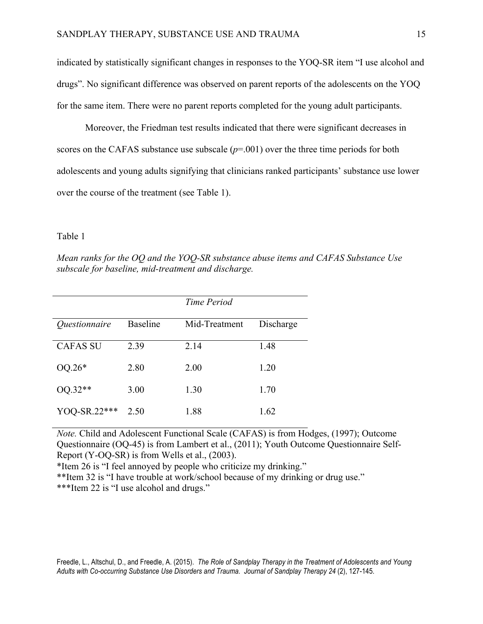indicated by statistically significant changes in responses to the YOQ-SR item "I use alcohol and drugs". No significant difference was observed on parent reports of the adolescents on the YOQ for the same item. There were no parent reports completed for the young adult participants.

Moreover, the Friedman test results indicated that there were significant decreases in scores on the CAFAS substance use subscale  $(p=0.01)$  over the three time periods for both adolescents and young adults signifying that clinicians ranked participants' substance use lower over the course of the treatment (see Table 1).

## Table 1

*Mean ranks for the OQ and the YOQ-SR substance abuse items and CAFAS Substance Use subscale for baseline, mid-treatment and discharge.*

|                             |                 | Time Period   |           |
|-----------------------------|-----------------|---------------|-----------|
| <i><u>Ouestionnaire</u></i> | <b>Baseline</b> | Mid-Treatment | Discharge |
| <b>CAFAS SU</b>             | 2.39            | 2.14          | 1.48      |
| $OQ.26*$                    | 2.80            | 2.00          | 1.20      |
| $OQ.32**$                   | 3.00            | 1.30          | 1.70      |
| YOQ-SR.22***                | 2.50            | 1.88          | 1.62      |

*Note.* Child and Adolescent Functional Scale (CAFAS) is from Hodges, (1997); Outcome Questionnaire (OQ-45) is from Lambert et al., (2011); Youth Outcome Questionnaire Self-Report (Y-OQ-SR) is from Wells et al., (2003).

\*Item 26 is "I feel annoyed by people who criticize my drinking."

\*\*Item 32 is "I have trouble at work/school because of my drinking or drug use."

\*\*\*Item 22 is "I use alcohol and drugs."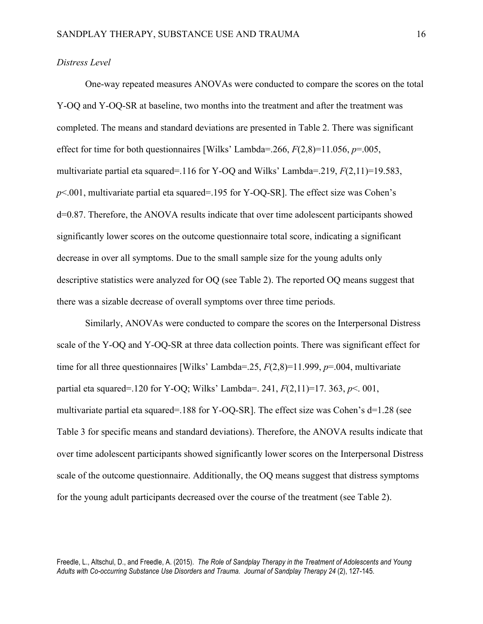# *Distress Level*

One-way repeated measures ANOVAs were conducted to compare the scores on the total Y-OQ and Y-OQ-SR at baseline, two months into the treatment and after the treatment was completed. The means and standard deviations are presented in Table 2. There was significant effect for time for both questionnaires [Wilks' Lambda=.266,  $F(2,8)=11.056$ ,  $p=.005$ , multivariate partial eta squared=.116 for Y-OQ and Wilks' Lambda=.219, *F*(2,11)=19.583, *p*<.001, multivariate partial eta squared=.195 for Y-OQ-SR]. The effect size was Cohen's d=0.87. Therefore, the ANOVA results indicate that over time adolescent participants showed significantly lower scores on the outcome questionnaire total score, indicating a significant decrease in over all symptoms. Due to the small sample size for the young adults only descriptive statistics were analyzed for OQ (see Table 2). The reported OQ means suggest that there was a sizable decrease of overall symptoms over three time periods.

Similarly, ANOVAs were conducted to compare the scores on the Interpersonal Distress scale of the Y-OQ and Y-OQ-SR at three data collection points. There was significant effect for time for all three questionnaires [Wilks' Lambda=.25, *F*(2,8)=11.999, *p*=.004, multivariate partial eta squared=.120 for Y-OQ; Wilks' Lambda=. 241, *F*(2,11)=17. 363, *p*<. 001, multivariate partial eta squared=.188 for Y-OQ-SR]. The effect size was Cohen's d=1.28 (see Table 3 for specific means and standard deviations). Therefore, the ANOVA results indicate that over time adolescent participants showed significantly lower scores on the Interpersonal Distress scale of the outcome questionnaire. Additionally, the OQ means suggest that distress symptoms for the young adult participants decreased over the course of the treatment (see Table 2).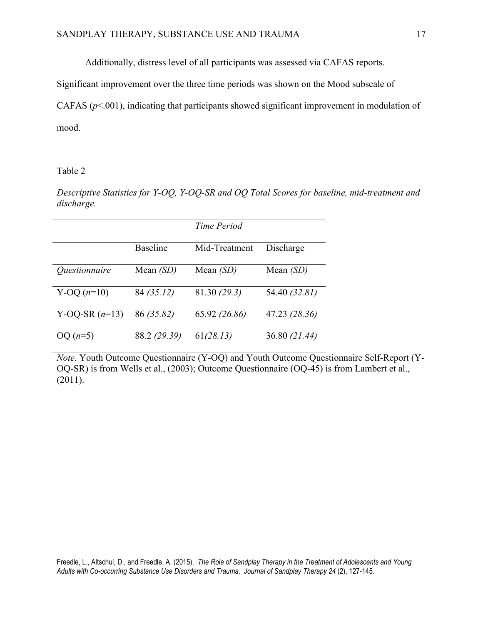Additionally, distress level of all participants was assessed via CAFAS reports.

Significant improvement over the three time periods was shown on the Mood subscale of

CAFAS ( $p$ <.001), indicating that participants showed significant improvement in modulation of mood.

Table 2

*Descriptive Statistics for Y-OQ, Y-OQ-SR and OQ Total Scores for baseline, mid-treatment and discharge.*

|                             |                 | Time Period   |               |
|-----------------------------|-----------------|---------------|---------------|
|                             | <b>Baseline</b> | Mid-Treatment | Discharge     |
| <i><u>Ouestionnaire</u></i> | Mean $(SD)$     | Mean $(SD)$   | Mean $(SD)$   |
| Y-OQ $(n=10)$               | 84 (35.12)      | 81.30 (29.3)  | 54.40 (32.81) |
| Y-OQ-SR $(n=13)$            | 86 (35.82)      | 65.92 (26.86) | 47.23 (28.36) |
| $OQ(n=5)$                   | 88.2 (29.39)    | 61(28.13)     | 36.80 (21.44) |

*Note.* Youth Outcome Questionnaire (Y-OQ) and Youth Outcome Questionnaire Self-Report (Y-OQ-SR) is from Wells et al., (2003); Outcome Questionnaire (OQ-45) is from Lambert et al., (2011).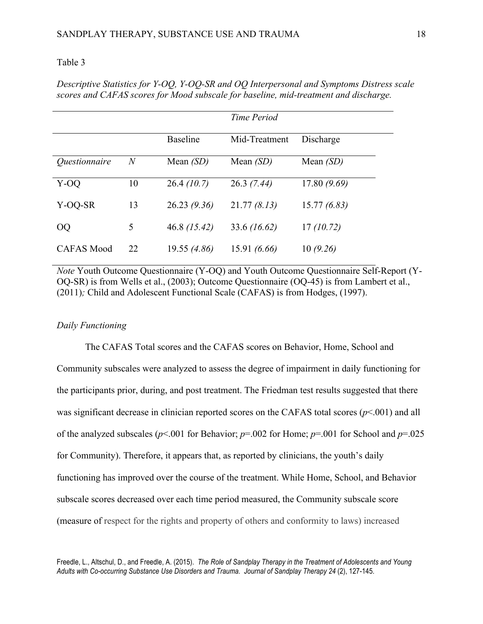## Table 3

*Descriptive Statistics for Y-OQ, Y-OQ-SR and OQ Interpersonal and Symptoms Distress scale scores and CAFAS scores for Mood subscale for baseline, mid-treatment and discharge.* 

|                             |                |                 | Time Period   |             |
|-----------------------------|----------------|-----------------|---------------|-------------|
|                             |                | <b>Baseline</b> | Mid-Treatment | Discharge   |
| <i><u>Ouestionnaire</u></i> | $\overline{N}$ | Mean $(SD)$     | Mean $(SD)$   | Mean $(SD)$ |
| Y-OQ                        | 10             | 26.4(10.7)      | 26.3(7.44)    | 17.80(9.69) |
| Y-OQ-SR                     | 13             | 26.23(9.36)     | 21.77(8.13)   | 15.77(6.83) |
| <b>OQ</b>                   | 5              | $46.8$ (15.42)  | 33.6 (16.62)  | 17(10.72)   |
| <b>CAFAS Mood</b>           | 22             | 19.55 (4.86)    | 15.91(6.66)   | 10(9.26)    |

*Note* Youth Outcome Questionnaire (Y-OQ) and Youth Outcome Questionnaire Self-Report (Y-OQ-SR) is from Wells et al., (2003); Outcome Questionnaire (OQ-45) is from Lambert et al., (2011)*;* Child and Adolescent Functional Scale (CAFAS) is from Hodges, (1997).

# *Daily Functioning*

The CAFAS Total scores and the CAFAS scores on Behavior, Home, School and Community subscales were analyzed to assess the degree of impairment in daily functioning for the participants prior, during, and post treatment. The Friedman test results suggested that there was significant decrease in clinician reported scores on the CAFAS total scores (*p*<.001) and all of the analyzed subscales (*p*<.001 for Behavior; *p*=.002 for Home; *p*=.001 for School and *p*=.025 for Community). Therefore, it appears that, as reported by clinicians, the youth's daily functioning has improved over the course of the treatment. While Home, School, and Behavior subscale scores decreased over each time period measured, the Community subscale score (measure of respect for the rights and property of others and conformity to laws) increased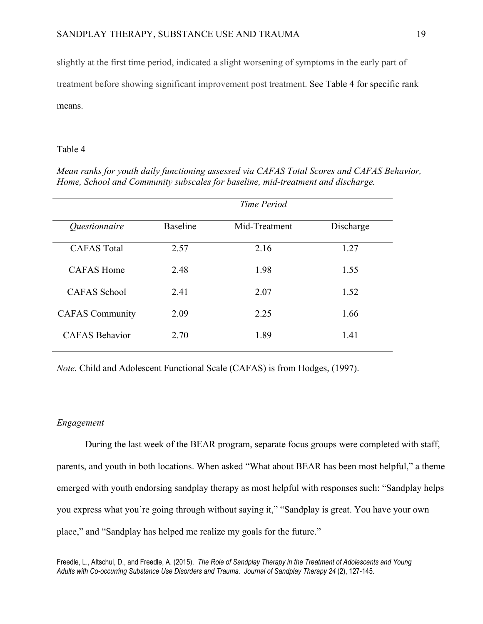slightly at the first time period, indicated a slight worsening of symptoms in the early part of treatment before showing significant improvement post treatment. See Table 4 for specific rank means.

# Table 4

*Mean ranks for youth daily functioning assessed via CAFAS Total Scores and CAFAS Behavior, Home, School and Community subscales for baseline, mid-treatment and discharge.*

|                             | Time Period     |               |           |
|-----------------------------|-----------------|---------------|-----------|
| <i><u>Ouestionnaire</u></i> | <b>Baseline</b> | Mid-Treatment | Discharge |
| <b>CAFAS</b> Total          | 2.57            | 2.16          | 1.27      |
| CAFAS Home                  | 2.48            | 1.98          | 1.55      |
| <b>CAFAS</b> School         | 2.41            | 2.07          | 1.52      |
| <b>CAFAS</b> Community      | 2.09            | 2.25          | 1.66      |
| <b>CAFAS Behavior</b>       | 2.70            | 1.89          | 1.41      |

*Note.* Child and Adolescent Functional Scale (CAFAS) is from Hodges, (1997).

# *Engagement*

During the last week of the BEAR program, separate focus groups were completed with staff, parents, and youth in both locations. When asked "What about BEAR has been most helpful," a theme emerged with youth endorsing sandplay therapy as most helpful with responses such: "Sandplay helps you express what you're going through without saying it," "Sandplay is great. You have your own place," and "Sandplay has helped me realize my goals for the future."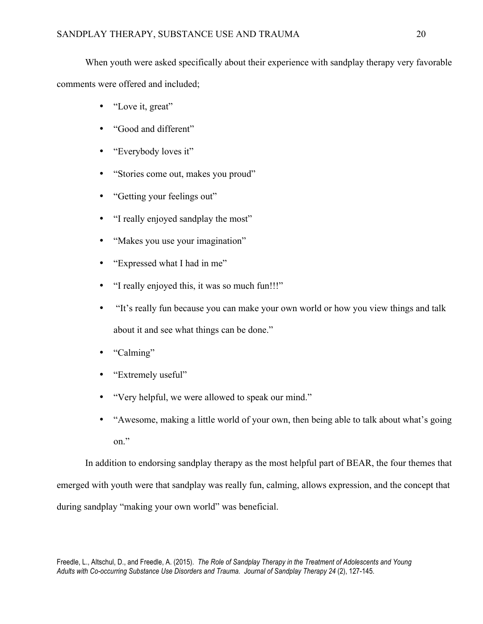When youth were asked specifically about their experience with sandplay therapy very favorable comments were offered and included;

- "Love it, great"
- "Good and different"
- "Everybody loves it"
- "Stories come out, makes you proud"
- "Getting your feelings out"
- "I really enjoyed sandplay the most"
- "Makes you use your imagination"
- "Expressed what I had in me"
- "I really enjoyed this, it was so much fun!!!"
- "It's really fun because you can make your own world or how you view things and talk about it and see what things can be done."
- "Calming"
- "Extremely useful"
- "Very helpful, we were allowed to speak our mind."
- "Awesome, making a little world of your own, then being able to talk about what's going on."

In addition to endorsing sandplay therapy as the most helpful part of BEAR, the four themes that emerged with youth were that sandplay was really fun, calming, allows expression, and the concept that during sandplay "making your own world" was beneficial.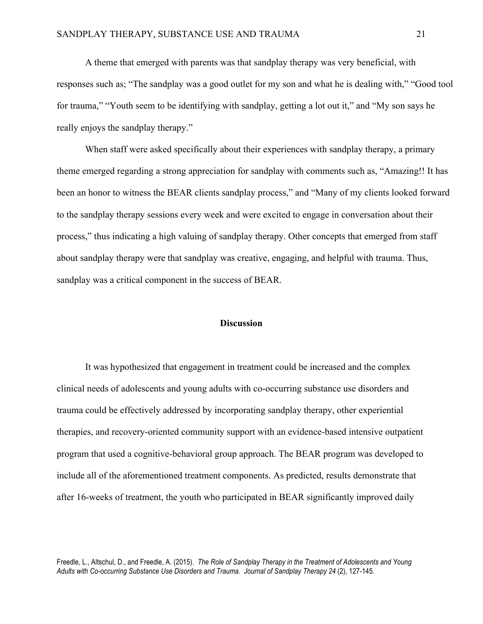A theme that emerged with parents was that sandplay therapy was very beneficial, with responses such as; "The sandplay was a good outlet for my son and what he is dealing with," "Good tool for trauma," "Youth seem to be identifying with sandplay, getting a lot out it," and "My son says he really enjoys the sandplay therapy."

When staff were asked specifically about their experiences with sandplay therapy, a primary theme emerged regarding a strong appreciation for sandplay with comments such as, "Amazing!! It has been an honor to witness the BEAR clients sandplay process," and "Many of my clients looked forward to the sandplay therapy sessions every week and were excited to engage in conversation about their process," thus indicating a high valuing of sandplay therapy. Other concepts that emerged from staff about sandplay therapy were that sandplay was creative, engaging, and helpful with trauma. Thus, sandplay was a critical component in the success of BEAR.

#### **Discussion**

It was hypothesized that engagement in treatment could be increased and the complex clinical needs of adolescents and young adults with co-occurring substance use disorders and trauma could be effectively addressed by incorporating sandplay therapy, other experiential therapies, and recovery-oriented community support with an evidence-based intensive outpatient program that used a cognitive-behavioral group approach. The BEAR program was developed to include all of the aforementioned treatment components. As predicted, results demonstrate that after 16-weeks of treatment, the youth who participated in BEAR significantly improved daily

Freedle, L., Altschul, D., and Freedle, A. (2015). *The Role of Sandplay Therapy in the Treatment of Adolescents and Young Adults with Co-occurring Substance Use Disorders and Trauma. Journal of Sandplay Therapy 24* (2), 127-145.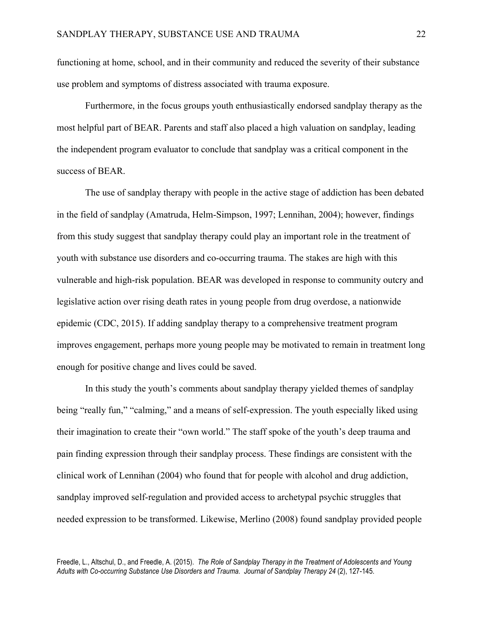functioning at home, school, and in their community and reduced the severity of their substance use problem and symptoms of distress associated with trauma exposure.

Furthermore, in the focus groups youth enthusiastically endorsed sandplay therapy as the most helpful part of BEAR. Parents and staff also placed a high valuation on sandplay, leading the independent program evaluator to conclude that sandplay was a critical component in the success of BEAR.

The use of sandplay therapy with people in the active stage of addiction has been debated in the field of sandplay (Amatruda, Helm-Simpson, 1997; Lennihan, 2004); however, findings from this study suggest that sandplay therapy could play an important role in the treatment of youth with substance use disorders and co-occurring trauma. The stakes are high with this vulnerable and high-risk population. BEAR was developed in response to community outcry and legislative action over rising death rates in young people from drug overdose, a nationwide epidemic (CDC, 2015). If adding sandplay therapy to a comprehensive treatment program improves engagement, perhaps more young people may be motivated to remain in treatment long enough for positive change and lives could be saved.

In this study the youth's comments about sandplay therapy yielded themes of sandplay being "really fun," "calming," and a means of self-expression. The youth especially liked using their imagination to create their "own world." The staff spoke of the youth's deep trauma and pain finding expression through their sandplay process. These findings are consistent with the clinical work of Lennihan (2004) who found that for people with alcohol and drug addiction, sandplay improved self-regulation and provided access to archetypal psychic struggles that needed expression to be transformed. Likewise, Merlino (2008) found sandplay provided people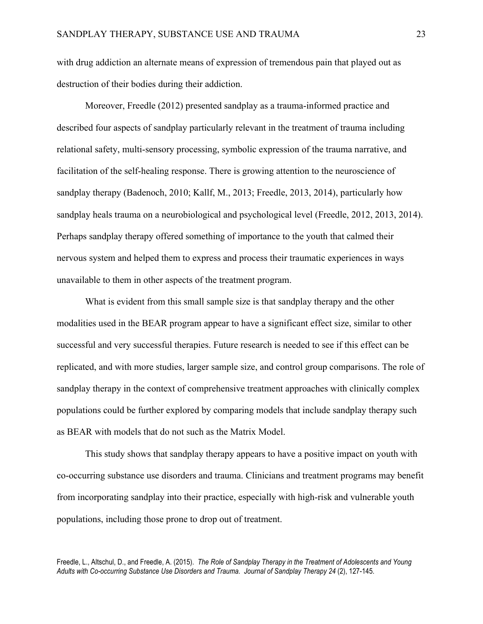with drug addiction an alternate means of expression of tremendous pain that played out as destruction of their bodies during their addiction.

Moreover, Freedle (2012) presented sandplay as a trauma-informed practice and described four aspects of sandplay particularly relevant in the treatment of trauma including relational safety, multi-sensory processing, symbolic expression of the trauma narrative, and facilitation of the self-healing response. There is growing attention to the neuroscience of sandplay therapy (Badenoch, 2010; Kallf, M., 2013; Freedle, 2013, 2014), particularly how sandplay heals trauma on a neurobiological and psychological level (Freedle, 2012, 2013, 2014). Perhaps sandplay therapy offered something of importance to the youth that calmed their nervous system and helped them to express and process their traumatic experiences in ways unavailable to them in other aspects of the treatment program.

What is evident from this small sample size is that sandplay therapy and the other modalities used in the BEAR program appear to have a significant effect size, similar to other successful and very successful therapies. Future research is needed to see if this effect can be replicated, and with more studies, larger sample size, and control group comparisons. The role of sandplay therapy in the context of comprehensive treatment approaches with clinically complex populations could be further explored by comparing models that include sandplay therapy such as BEAR with models that do not such as the Matrix Model.

This study shows that sandplay therapy appears to have a positive impact on youth with co-occurring substance use disorders and trauma. Clinicians and treatment programs may benefit from incorporating sandplay into their practice, especially with high-risk and vulnerable youth populations, including those prone to drop out of treatment.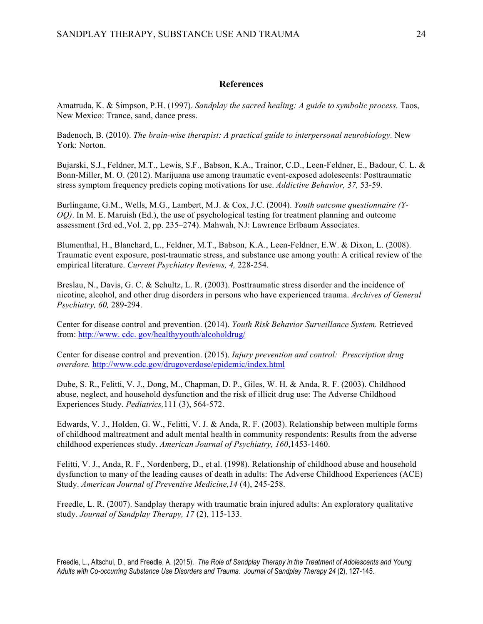# **References**

Amatruda, K. & Simpson, P.H. (1997). *Sandplay the sacred healing: A guide to symbolic process.* Taos, New Mexico: Trance, sand, dance press.

Badenoch, B. (2010). *The brain-wise therapist: A practical guide to interpersonal neurobiology*. New York: Norton.

Bujarski, S.J., Feldner, M.T., Lewis, S.F., Babson, K.A., Trainor, C.D., Leen-Feldner, E., Badour, C. L. & Bonn-Miller, M. O. (2012). Marijuana use among traumatic event-exposed adolescents: Posttraumatic stress symptom frequency predicts coping motivations for use. *Addictive Behavior, 37,* 53-59.

Burlingame, G.M., Wells, M.G., Lambert, M.J. & Cox, J.C. (2004). *Youth outcome questionnaire (Y-OQ)*. In M. E. Maruish (Ed.), the use of psychological testing for treatment planning and outcome assessment (3rd ed.,Vol. 2, pp. 235–274). Mahwah, NJ: Lawrence Erlbaum Associates.

Blumenthal, H., Blanchard, L., Feldner, M.T., Babson, K.A., Leen-Feldner, E.W. & Dixon, L. (2008). Traumatic event exposure, post-traumatic stress, and substance use among youth: A critical review of the empirical literature. *Current Psychiatry Reviews, 4,* 228-254.

Breslau, N., Davis, G. C. & Schultz, L. R. (2003). Posttraumatic stress disorder and the incidence of nicotine, alcohol, and other drug disorders in persons who have experienced trauma. *Archives of General Psychiatry, 60,* 289-294.

Center for disease control and prevention. (2014). *Youth Risk Behavior Surveillance System.* Retrieved from: http://www. cdc. gov/healthyyouth/alcoholdrug/

Center for disease control and prevention. (2015). *Injury prevention and control: Prescription drug overdose.* http://www.cdc.gov/drugoverdose/epidemic/index.html

Dube, S. R., Felitti, V. J., Dong, M., Chapman, D. P., Giles, W. H. & Anda, R. F. (2003). Childhood abuse, neglect, and household dysfunction and the risk of illicit drug use: The Adverse Childhood Experiences Study. *Pediatrics,*111 (3), 564-572.

Edwards, V. J., Holden, G. W., Felitti, V. J. & Anda, R. F. (2003). Relationship between multiple forms of childhood maltreatment and adult mental health in community respondents: Results from the adverse childhood experiences study. *American Journal of Psychiatry, 160*,1453-1460.

Felitti, V. J., Anda, R. F., Nordenberg, D., et al. (1998). Relationship of childhood abuse and household dysfunction to many of the leading causes of death in adults: The Adverse Childhood Experiences (ACE) Study. *American Journal of Preventive Medicine,14* (4), 245-258.

Freedle, L. R. (2007). Sandplay therapy with traumatic brain injured adults: An exploratory qualitative study. *Journal of Sandplay Therapy, 17* (2), 115-133.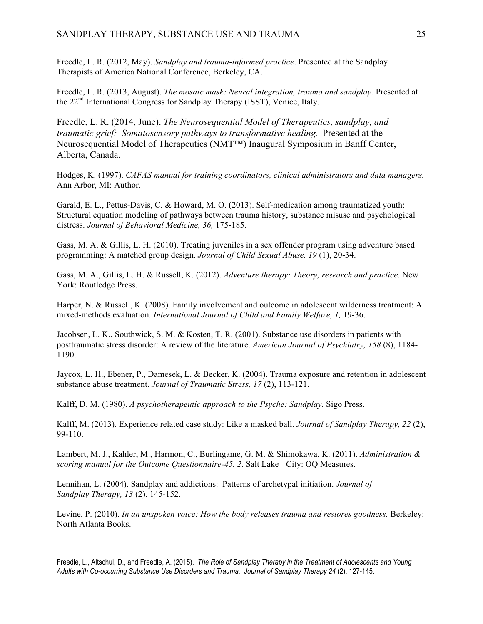# SANDPLAY THERAPY, SUBSTANCE USE AND TRAUMA 25

Freedle, L. R. (2012, May). *Sandplay and trauma-informed practice*. Presented at the Sandplay Therapists of America National Conference, Berkeley, CA.

Freedle, L. R. (2013, August). *The mosaic mask: Neural integration, trauma and sandplay.* Presented at the 22<sup>nd</sup> International Congress for Sandplay Therapy (ISST), Venice, Italy.

Freedle, L. R. (2014, June). *The Neurosequential Model of Therapeutics, sandplay, and traumatic grief: Somatosensory pathways to transformative healing.* Presented at the Neurosequential Model of Therapeutics (NMT™) Inaugural Symposium in Banff Center, Alberta, Canada.

Hodges, K. (1997). *CAFAS manual for training coordinators, clinical administrators and data managers.*  Ann Arbor, MI: Author.

Garald, E. L., Pettus-Davis, C. & Howard, M. O. (2013). Self-medication among traumatized youth: Structural equation modeling of pathways between trauma history, substance misuse and psychological distress. *Journal of Behavioral Medicine, 36,* 175-185.

Gass, M. A. & Gillis, L. H. (2010). Treating juveniles in a sex offender program using adventure based programming: A matched group design. *Journal of Child Sexual Abuse, 19* (1), 20-34.

Gass, M. A., Gillis, L. H. & Russell, K. (2012). *Adventure therapy: Theory, research and practice.* New York: Routledge Press.

Harper, N. & Russell, K. (2008). Family involvement and outcome in adolescent wilderness treatment: A mixed-methods evaluation. *International Journal of Child and Family Welfare, 1,* 19-36.

Jacobsen, L. K., Southwick, S. M. & Kosten, T. R. (2001). Substance use disorders in patients with posttraumatic stress disorder: A review of the literature. *American Journal of Psychiatry, 158* (8), 1184- 1190.

Jaycox, L. H., Ebener, P., Damesek, L. & Becker, K. (2004). Trauma exposure and retention in adolescent substance abuse treatment. *Journal of Traumatic Stress, 17* (2), 113-121.

Kalff, D. M. (1980). *A psychotherapeutic approach to the Psyche: Sandplay.* Sigo Press.

Kalff, M. (2013). Experience related case study: Like a masked ball. *Journal of Sandplay Therapy, 22* (2), 99-110.

Lambert, M. J., Kahler, M., Harmon, C., Burlingame, G. M. & Shimokawa, K. (2011). *Administration & scoring manual for the Outcome Questionnaire-45. 2*. Salt Lake City: OQ Measures.

Lennihan, L. (2004). Sandplay and addictions: Patterns of archetypal initiation. *Journal of Sandplay Therapy, 13* (2), 145-152.

Levine, P. (2010). *In an unspoken voice: How the body releases trauma and restores goodness*. Berkeley: North Atlanta Books.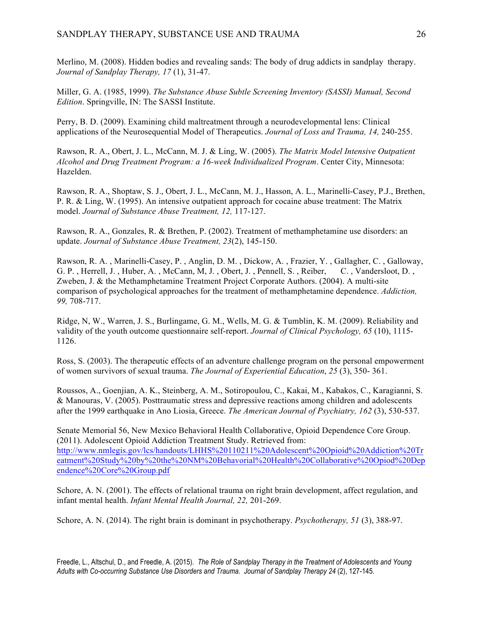Merlino, M. (2008). Hidden bodies and revealing sands: The body of drug addicts in sandplay therapy. *Journal of Sandplay Therapy, 17* (1), 31-47.

Miller, G. A. (1985, 1999). *The Substance Abuse Subtle Screening Inventory (SASSI) Manual, Second Edition*. Springville, IN: The SASSI Institute.

Perry, B. D. (2009). Examining child maltreatment through a neurodevelopmental lens: Clinical applications of the Neurosequential Model of Therapeutics. *Journal of Loss and Trauma, 14,* 240-255.

Rawson, R. A., Obert, J. L., McCann, M. J. & Ling, W. (2005). *The Matrix Model Intensive Outpatient Alcohol and Drug Treatment Program: a 16-week Individualized Program*. Center City, Minnesota: Hazelden.

Rawson, R. A., Shoptaw, S. J., Obert, J. L., McCann, M. J., Hasson, A. L., Marinelli-Casey, P.J., Brethen, P. R. & Ling, W. (1995). An intensive outpatient approach for cocaine abuse treatment: The Matrix model. *Journal of Substance Abuse Treatment, 12,* 117-127.

Rawson, R. A., Gonzales, R. & Brethen, P. (2002). Treatment of methamphetamine use disorders: an update. *Journal of Substance Abuse Treatment, 23*(2), 145-150.

Rawson, R. A. , Marinelli-Casey, P. , Anglin, D. M. , Dickow, A. , Frazier, Y. , Gallagher, C. , Galloway, G. P. , Herrell, J. , Huber, A. , McCann, M, J. , Obert, J. , Pennell, S. , Reiber, C. , Vandersloot, D. , Zweben, J. & the Methamphetamine Treatment Project Corporate Authors. (2004). A multi-site comparison of psychological approaches for the treatment of methamphetamine dependence. *Addiction, 99,* 708-717.

Ridge, N, W., Warren, J. S., Burlingame, G. M., Wells, M. G. & Tumblin, K. M. (2009). Reliability and validity of the youth outcome questionnaire self-report. *Journal of Clinical Psychology, 65* (10), 1115- 1126.

Ross, S. (2003). The therapeutic effects of an adventure challenge program on the personal empowerment of women survivors of sexual trauma. *The Journal of Experiential Education*, *25* (3), 350- 361.

Roussos, A., Goenjian, A. K., Steinberg, A. M., Sotiropoulou, C., Kakai, M., Kabakos, C., Karagianni, S. & Manouras, V. (2005). Posttraumatic stress and depressive reactions among children and adolescents after the 1999 earthquake in Ano Liosia, Greece. *The American Journal of Psychiatry, 162* (3), 530-537.

Senate Memorial 56, New Mexico Behavioral Health Collaborative, Opioid Dependence Core Group. (2011). Adolescent Opioid Addiction Treatment Study. Retrieved from: http://www.nmlegis.gov/lcs/handouts/LHHS%20110211%20Adolescent%20Opioid%20Addiction%20Tr eatment%20Study%20by%20the%20NM%20Behavorial%20Health%20Collaborative%20Opiod%20Dep endence%20Core%20Group.pdf

Schore, A. N. (2001). The effects of relational trauma on right brain development, affect regulation, and infant mental health. *Infant Mental Health Journal, 22,* 201-269.

Schore, A. N. (2014). The right brain is dominant in psychotherapy. *Psychotherapy, 51* (3), 388-97.